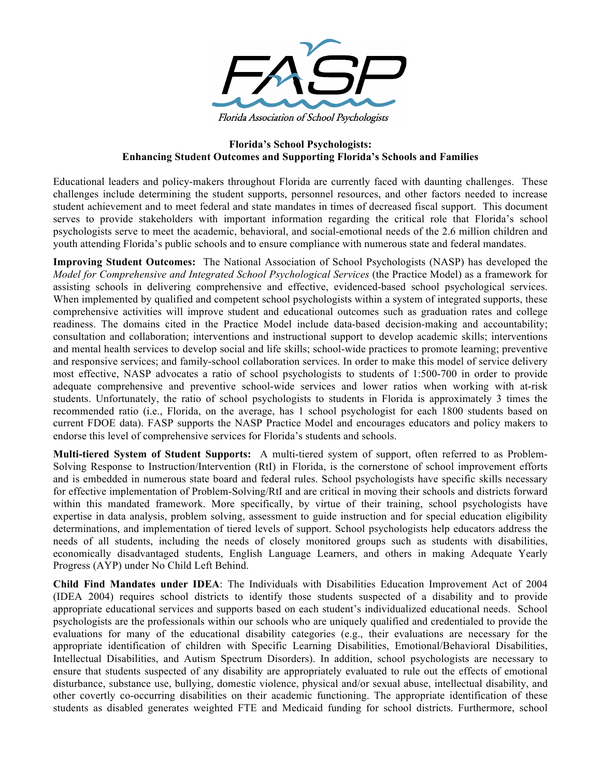

## **Florida's School Psychologists: Enhancing Student Outcomes and Supporting Florida's Schools and Families**

Educational leaders and policy-makers throughout Florida are currently faced with daunting challenges. These challenges include determining the student supports, personnel resources, and other factors needed to increase student achievement and to meet federal and state mandates in times of decreased fiscal support. This document serves to provide stakeholders with important information regarding the critical role that Florida's school psychologists serve to meet the academic, behavioral, and social-emotional needs of the 2.6 million children and youth attending Florida's public schools and to ensure compliance with numerous state and federal mandates.

**Improving Student Outcomes:** The National Association of School Psychologists (NASP) has developed the *Model for Comprehensive and Integrated School Psychological Services* (the Practice Model) as a framework for assisting schools in delivering comprehensive and effective, evidenced-based school psychological services. When implemented by qualified and competent school psychologists within a system of integrated supports, these comprehensive activities will improve student and educational outcomes such as graduation rates and college readiness. The domains cited in the Practice Model include data-based decision-making and accountability; consultation and collaboration; interventions and instructional support to develop academic skills; interventions and mental health services to develop social and life skills; school-wide practices to promote learning; preventive and responsive services; and family-school collaboration services. In order to make this model of service delivery most effective, NASP advocates a ratio of school psychologists to students of 1:500-700 in order to provide adequate comprehensive and preventive school-wide services and lower ratios when working with at-risk students. Unfortunately, the ratio of school psychologists to students in Florida is approximately 3 times the recommended ratio (i.e., Florida, on the average, has 1 school psychologist for each 1800 students based on current FDOE data). FASP supports the NASP Practice Model and encourages educators and policy makers to endorse this level of comprehensive services for Florida's students and schools.

**Multi-tiered System of Student Supports:** A multi-tiered system of support, often referred to as Problem-Solving Response to Instruction/Intervention (RtI) in Florida, is the cornerstone of school improvement efforts and is embedded in numerous state board and federal rules. School psychologists have specific skills necessary for effective implementation of Problem-Solving/RtI and are critical in moving their schools and districts forward within this mandated framework. More specifically, by virtue of their training, school psychologists have expertise in data analysis, problem solving, assessment to guide instruction and for special education eligibility determinations, and implementation of tiered levels of support. School psychologists help educators address the needs of all students, including the needs of closely monitored groups such as students with disabilities, economically disadvantaged students, English Language Learners, and others in making Adequate Yearly Progress (AYP) under No Child Left Behind.

**Child Find Mandates under IDEA**: The Individuals with Disabilities Education Improvement Act of 2004 (IDEA 2004) requires school districts to identify those students suspected of a disability and to provide appropriate educational services and supports based on each student's individualized educational needs. School psychologists are the professionals within our schools who are uniquely qualified and credentialed to provide the evaluations for many of the educational disability categories (e.g., their evaluations are necessary for the appropriate identification of children with Specific Learning Disabilities, Emotional/Behavioral Disabilities, Intellectual Disabilities, and Autism Spectrum Disorders). In addition, school psychologists are necessary to ensure that students suspected of any disability are appropriately evaluated to rule out the effects of emotional disturbance, substance use, bullying, domestic violence, physical and/or sexual abuse, intellectual disability, and other covertly co-occurring disabilities on their academic functioning. The appropriate identification of these students as disabled generates weighted FTE and Medicaid funding for school districts. Furthermore, school